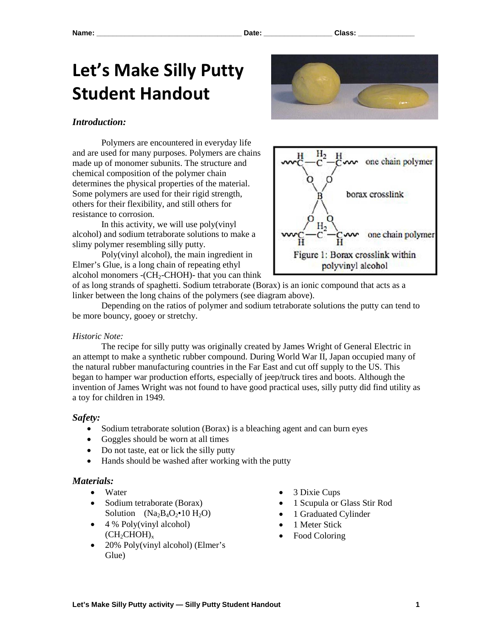# **Let's Make Silly Putty Student Handout**



### *Introduction:*

Polymers are encountered in everyday life and are used for many purposes. Polymers are chains made up of monomer subunits. The structure and chemical composition of the polymer chain determines the physical properties of the material. Some polymers are used for their rigid strength, others for their flexibility, and still others for resistance to corrosion.

In this activity, we will use poly(vinyl alcohol) and sodium tetraborate solutions to make a slimy polymer resembling silly putty.

Poly(vinyl alcohol), the main ingredient in Elmer's Glue, is a long chain of repeating ethyl alcohol monomers -( $CH<sub>2</sub>$ -CHOH)- that you can think



of as long strands of spaghetti. Sodium tetraborate (Borax) is an ionic compound that acts as a linker between the long chains of the polymers (see diagram above).

Depending on the ratios of polymer and sodium tetraborate solutions the putty can tend to be more bouncy, gooey or stretchy.

#### *Historic Note:*

The recipe for silly putty was originally created by James Wright of General Electric in an attempt to make a synthetic rubber compound. During World War II, Japan occupied many of the natural rubber manufacturing countries in the Far East and cut off supply to the US. This began to hamper war production efforts, especially of jeep/truck tires and boots. Although the invention of James Wright was not found to have good practical uses, silly putty did find utility as a toy for children in 1949.

#### *Safety:*

- Sodium tetraborate solution (Borax) is a bleaching agent and can burn eyes
- Goggles should be worn at all times
- Do not taste, eat or lick the silly putty
- Hands should be washed after working with the putty

#### *Materials:*

- Water
- Sodium tetraborate (Borax) Solution  $(Na_2B_4O_2 \cdot 10H_2O)$
- $\bullet$  4 % Poly(vinyl alcohol)  $(CH_2CHOH)_x$
- 20% Poly(vinyl alcohol) (Elmer's Glue)
- 3 Dixie Cups
- 1 Scupula or Glass Stir Rod
- 1 Graduated Cylinder
- 1 Meter Stick
- Food Coloring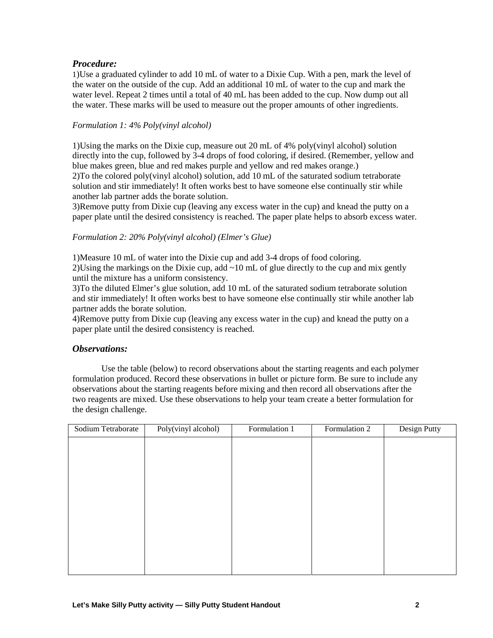## *Procedure:*

1)Use a graduated cylinder to add 10 mL of water to a Dixie Cup. With a pen, mark the level of the water on the outside of the cup. Add an additional 10 mL of water to the cup and mark the water level. Repeat 2 times until a total of 40 mL has been added to the cup. Now dump out all the water. These marks will be used to measure out the proper amounts of other ingredients.

### *Formulation 1: 4% Poly(vinyl alcohol)*

1)Using the marks on the Dixie cup, measure out 20 mL of 4% poly(vinyl alcohol) solution directly into the cup, followed by 3-4 drops of food coloring, if desired. (Remember, yellow and blue makes green, blue and red makes purple and yellow and red makes orange.) 2)To the colored poly(vinyl alcohol) solution, add 10 mL of the saturated sodium tetraborate solution and stir immediately! It often works best to have someone else continually stir while another lab partner adds the borate solution.

3)Remove putty from Dixie cup (leaving any excess water in the cup) and knead the putty on a paper plate until the desired consistency is reached. The paper plate helps to absorb excess water.

## *Formulation 2: 20% Poly(vinyl alcohol) (Elmer's Glue)*

1)Measure 10 mL of water into the Dixie cup and add 3-4 drops of food coloring. 2)Using the markings on the Dixie cup, add  $\sim 10$  mL of glue directly to the cup and mix gently until the mixture has a uniform consistency.

3)To the diluted Elmer's glue solution, add 10 mL of the saturated sodium tetraborate solution and stir immediately! It often works best to have someone else continually stir while another lab partner adds the borate solution.

4)Remove putty from Dixie cup (leaving any excess water in the cup) and knead the putty on a paper plate until the desired consistency is reached.

### *Observations:*

Use the table (below) to record observations about the starting reagents and each polymer formulation produced. Record these observations in bullet or picture form. Be sure to include any observations about the starting reagents before mixing and then record all observations after the two reagents are mixed. Use these observations to help your team create a better formulation for the design challenge.

| Sodium Tetraborate | Poly(vinyl alcohol) | Formulation 1 | Formulation 2 | Design Putty |
|--------------------|---------------------|---------------|---------------|--------------|
|                    |                     |               |               |              |
|                    |                     |               |               |              |
|                    |                     |               |               |              |
|                    |                     |               |               |              |
|                    |                     |               |               |              |
|                    |                     |               |               |              |
|                    |                     |               |               |              |
|                    |                     |               |               |              |
|                    |                     |               |               |              |
|                    |                     |               |               |              |
|                    |                     |               |               |              |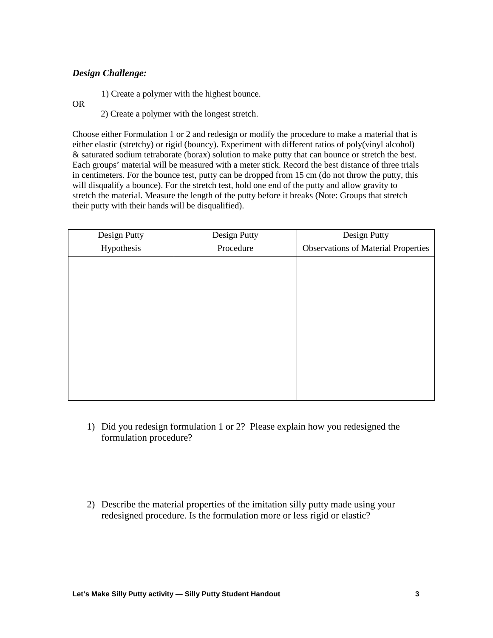## *Design Challenge:*

1) Create a polymer with the highest bounce.

OR

2) Create a polymer with the longest stretch.

Choose either Formulation 1 or 2 and redesign or modify the procedure to make a material that is either elastic (stretchy) or rigid (bouncy). Experiment with different ratios of poly(vinyl alcohol) & saturated sodium tetraborate (borax) solution to make putty that can bounce or stretch the best. Each groups' material will be measured with a meter stick. Record the best distance of three trials in centimeters. For the bounce test, putty can be dropped from 15 cm (do not throw the putty, this will disqualify a bounce). For the stretch test, hold one end of the putty and allow gravity to stretch the material. Measure the length of the putty before it breaks (Note: Groups that stretch their putty with their hands will be disqualified).

| Design Putty | Design Putty | Design Putty                               |
|--------------|--------------|--------------------------------------------|
| Hypothesis   | Procedure    | <b>Observations of Material Properties</b> |
|              |              |                                            |
|              |              |                                            |
|              |              |                                            |
|              |              |                                            |
|              |              |                                            |
|              |              |                                            |
|              |              |                                            |
|              |              |                                            |
|              |              |                                            |
|              |              |                                            |

- 1) Did you redesign formulation 1 or 2? Please explain how you redesigned the formulation procedure?
- 2) Describe the material properties of the imitation silly putty made using your redesigned procedure. Is the formulation more or less rigid or elastic?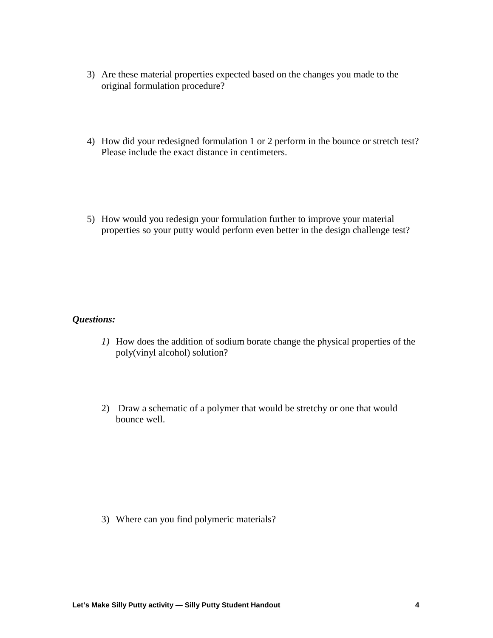- 3) Are these material properties expected based on the changes you made to the original formulation procedure?
- 4) How did your redesigned formulation 1 or 2 perform in the bounce or stretch test? Please include the exact distance in centimeters.
- 5) How would you redesign your formulation further to improve your material properties so your putty would perform even better in the design challenge test?

# *Questions:*

- *1)* How does the addition of sodium borate change the physical properties of the poly(vinyl alcohol) solution?
- 2) Draw a schematic of a polymer that would be stretchy or one that would bounce well.

3) Where can you find polymeric materials?